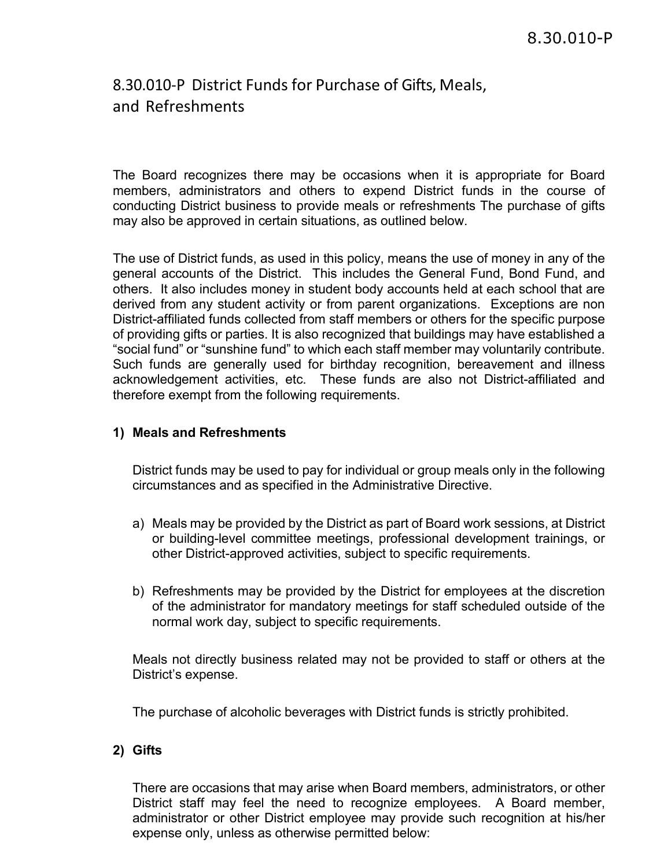# 8.30.010-P District Funds for Purchase of Gifts, Meals, and Refreshments

The Board recognizes there may be occasions when it is appropriate for Board members, administrators and others to expend District funds in the course of conducting District business to provide meals or refreshments The purchase of gifts may also be approved in certain situations, as outlined below.

The use of District funds, as used in this policy, means the use of money in any of the general accounts of the District. This includes the General Fund, Bond Fund, and others. It also includes money in student body accounts held at each school that are derived from any student activity or from parent organizations. Exceptions are non District-affiliated funds collected from staff members or others for the specific purpose of providing gifts or parties. It is also recognized that buildings may have established a "social fund" or "sunshine fund" to which each staff member may voluntarily contribute. Such funds are generally used for birthday recognition, bereavement and illness acknowledgement activities, etc. These funds are also not District-affiliated and therefore exempt from the following requirements.

#### **1) Meals and Refreshments**

District funds may be used to pay for individual or group meals only in the following circumstances and as specified in the Administrative Directive.

- a) Meals may be provided by the District as part of Board work sessions, at District or building-level committee meetings, professional development trainings, or other District-approved activities, subject to specific requirements.
- b) Refreshments may be provided by the District for employees at the discretion of the administrator for mandatory meetings for staff scheduled outside of the normal work day, subject to specific requirements.

Meals not directly business related may not be provided to staff or others at the District's expense.

The purchase of alcoholic beverages with District funds is strictly prohibited.

#### **2) Gifts**

There are occasions that may arise when Board members, administrators, or other District staff may feel the need to recognize employees. A Board member, administrator or other District employee may provide such recognition at his/her expense only, unless as otherwise permitted below: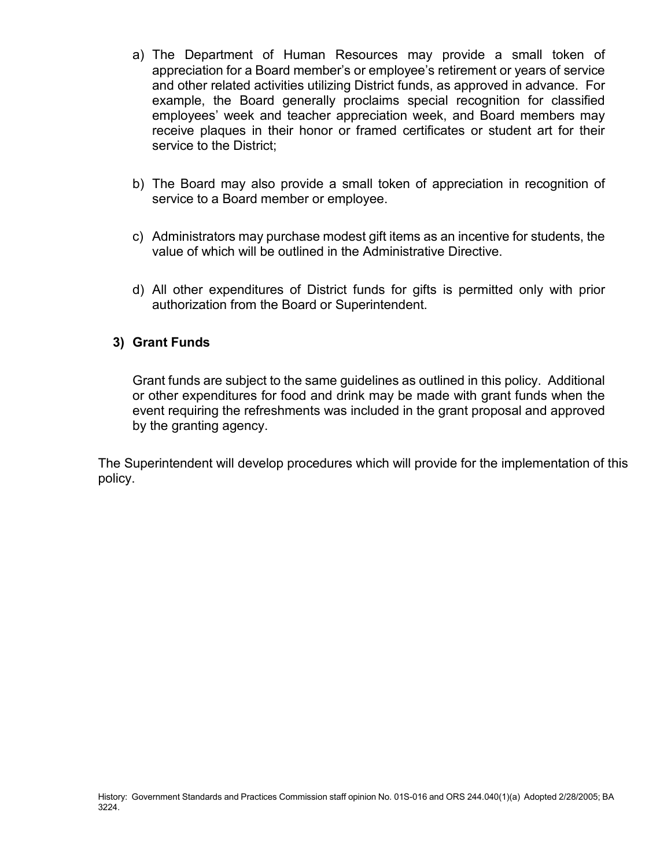- a) The Department of Human Resources may provide a small token of appreciation for a Board member's or employee's retirement or years of service and other related activities utilizing District funds, as approved in advance. For example, the Board generally proclaims special recognition for classified employees' week and teacher appreciation week, and Board members may receive plaques in their honor or framed certificates or student art for their service to the District;
- b) The Board may also provide a small token of appreciation in recognition of service to a Board member or employee.
- c) Administrators may purchase modest gift items as an incentive for students, the value of which will be outlined in the Administrative Directive.
- d) All other expenditures of District funds for gifts is permitted only with prior authorization from the Board or Superintendent.

### **3) Grant Funds**

Grant funds are subject to the same guidelines as outlined in this policy. Additional or other expenditures for food and drink may be made with grant funds when the event requiring the refreshments was included in the grant proposal and approved by the granting agency.

The Superintendent will develop procedures which will provide for the implementation of this policy.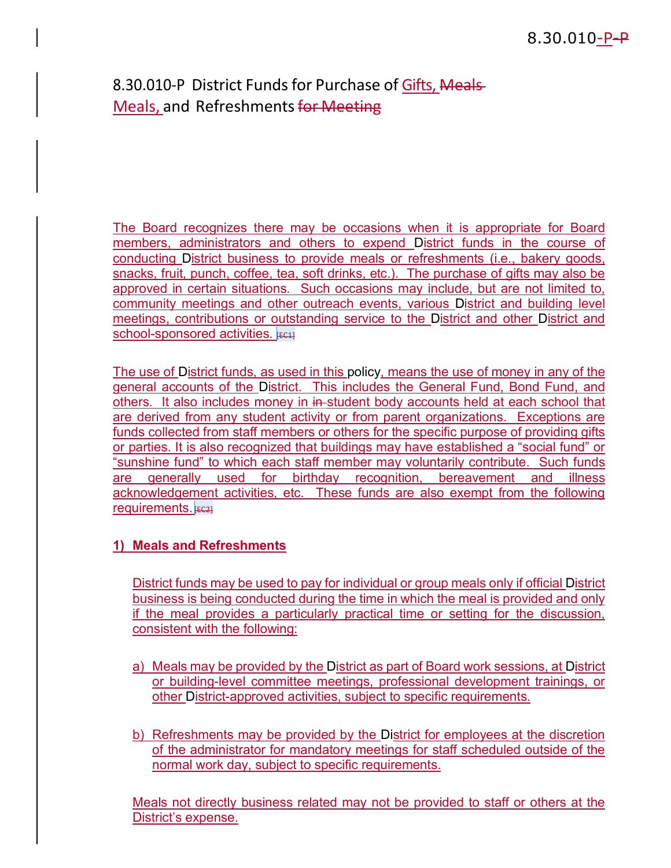# 8.30.010-P District Funds for Purchase of Gifts, Meals-Meals, and Refreshments for Meeting

The Board recognizes there may be occasions when it is appropriate for Board members, administrators and others to expend District funds in the course of conducting District business to provide meals or refreshments (i.e., bakery goods, snacks, fruit, punch, coffee, tea, soft drinks, etc.). The purchase of gifts may also be approved in certain situations. Such occasions may include, but are not limited to, community meetings and other outreach events, various District and building level meetings, contributions or outstanding service to the District and other District and school-sponsored activities.  $F = 1$ 

The use of District funds, as used in this policy, means the use of money in any of the general accounts of the District. This includes the General Fund, Bond Fund, and others. It also includes money in in-student body accounts held at each school that are derived from any student activity or from parent organizations. Exceptions are funds collected from staff members or others for the specific purpose of providing gifts or parties. It is also recognized that buildings may have established a "social fund" or "sunshine fund" to which each staff member may voluntarily contribute. Such funds are generally used for birthday recognition, bereavement and illness acknowledgement activities, etc. These funds are also exempt from the following requirements.  $F = 21$ 

### **1) Meals and Refreshments**

District funds may be used to pay for individual or group meals only if official District business is being conducted during the time in which the meal is provided and only if the meal provides a particularly practical time or setting for the discussion, consistent with the following:

- a) Meals may be provided by the District as part of Board work sessions, at District or building-level committee meetings, professional development trainings, or other District-approved activities, subject to specific requirements.
- b) Refreshments may be provided by the District for employees at the discretion of the administrator for mandatory meetings for staff scheduled outside of the normal work day, subject to specific requirements.

Meals not directly business related may not be provided to staff or others at the District's expense.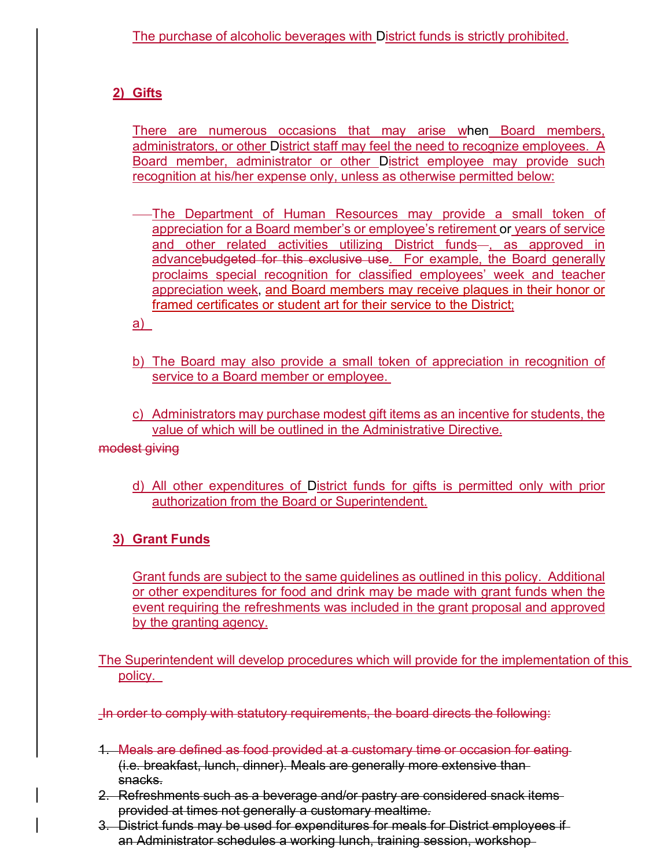## **2) Gifts**

There are numerous occasions that may arise when Board members, administrators, or other District staff may feel the need to recognize employees. A Board member, administrator or other District employee may provide such recognition at his/her expense only, unless as otherwise permitted below:

The Department of Human Resources may provide a small token of appreciation for a Board member's or employee's retirement or years of service and other related activities utilizing District funds-, as approved in advancebudgeted for this exclusive use. For example, the Board generally proclaims special recognition for classified employees' week and teacher appreciation week, and Board members may receive plaques in their honor or framed certificates or student art for their service to the District;

a)

- b) The Board may also provide a small token of appreciation in recognition of service to a Board member or employee.
- c) Administrators may purchase modest gift items as an incentive for students, the value of which will be outlined in the Administrative Directive.

modest giving

d) All other expenditures of District funds for gifts is permitted only with prior authorization from the Board or Superintendent.

## **3) Grant Funds**

Grant funds are subject to the same guidelines as outlined in this policy. Additional or other expenditures for food and drink may be made with grant funds when the event requiring the refreshments was included in the grant proposal and approved by the granting agency.

The Superintendent will develop procedures which will provide for the implementation of this policy.

In order to comply with statutory requirements, the board directs the following:

- 1. Meals are defined as food provided at a customary time or occasion for eating (i.e. breakfast, lunch, dinner). Meals are generally more extensive than snacks.
- 2. Refreshments such as a beverage and/or pastry are considered snack items provided at times not generally a customary mealtime.
- 3. District funds may be used for expenditures for meals for District employees if an Administrator schedules a working lunch, training session, workshop